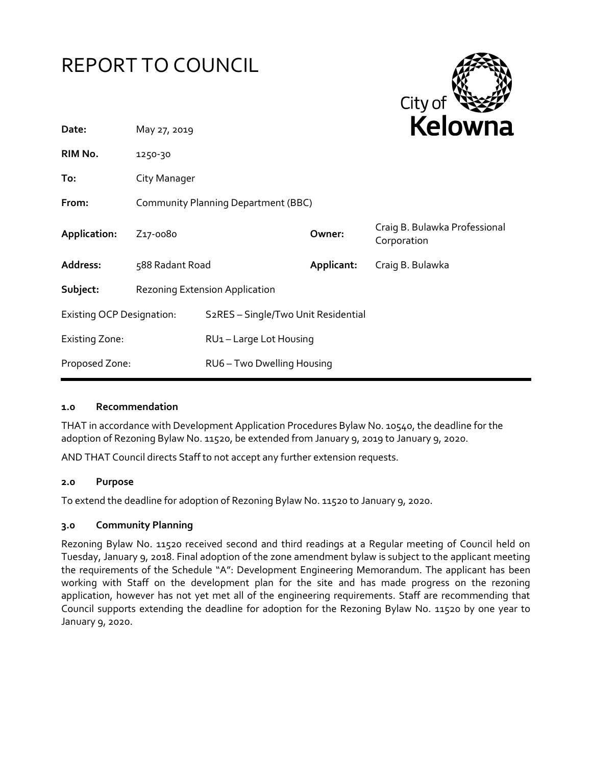# REPORT TO COUNCIL



| Date:                            | May 27, 2019                        |                                     |            | REIUWIId                                     |
|----------------------------------|-------------------------------------|-------------------------------------|------------|----------------------------------------------|
| RIM No.                          | 1250-30                             |                                     |            |                                              |
| To:                              | City Manager                        |                                     |            |                                              |
| From:                            | Community Planning Department (BBC) |                                     |            |                                              |
| Application:                     | Z17-0080                            |                                     | Owner:     | Craig B. Bulawka Professional<br>Corporation |
| Address:                         | 588 Radant Road                     |                                     | Applicant: | Craig B. Bulawka                             |
| Subject:                         | Rezoning Extension Application      |                                     |            |                                              |
| <b>Existing OCP Designation:</b> |                                     | S2RES - Single/Two Unit Residential |            |                                              |
| <b>Existing Zone:</b>            |                                     | RU1-Large Lot Housing               |            |                                              |
| Proposed Zone:                   |                                     | RU6 - Two Dwelling Housing          |            |                                              |
|                                  |                                     |                                     |            |                                              |

## **1.0 Recommendation**

THAT in accordance with Development Application Procedures Bylaw No. 10540, the deadline for the adoption of Rezoning Bylaw No. 11520, be extended from January 9, 2019 to January 9, 2020.

AND THAT Council directs Staff to not accept any further extension requests.

#### **2.0 Purpose**

To extend the deadline for adoption of Rezoning Bylaw No. 11520 to January 9, 2020.

## **3.0 Community Planning**

Rezoning Bylaw No. 11520 received second and third readings at a Regular meeting of Council held on Tuesday, January 9, 2018. Final adoption of the zone amendment bylaw is subject to the applicant meeting the requirements of the Schedule "A": Development Engineering Memorandum. The applicant has been working with Staff on the development plan for the site and has made progress on the rezoning application, however has not yet met all of the engineering requirements. Staff are recommending that Council supports extending the deadline for adoption for the Rezoning Bylaw No. 11520 by one year to January 9, 2020.